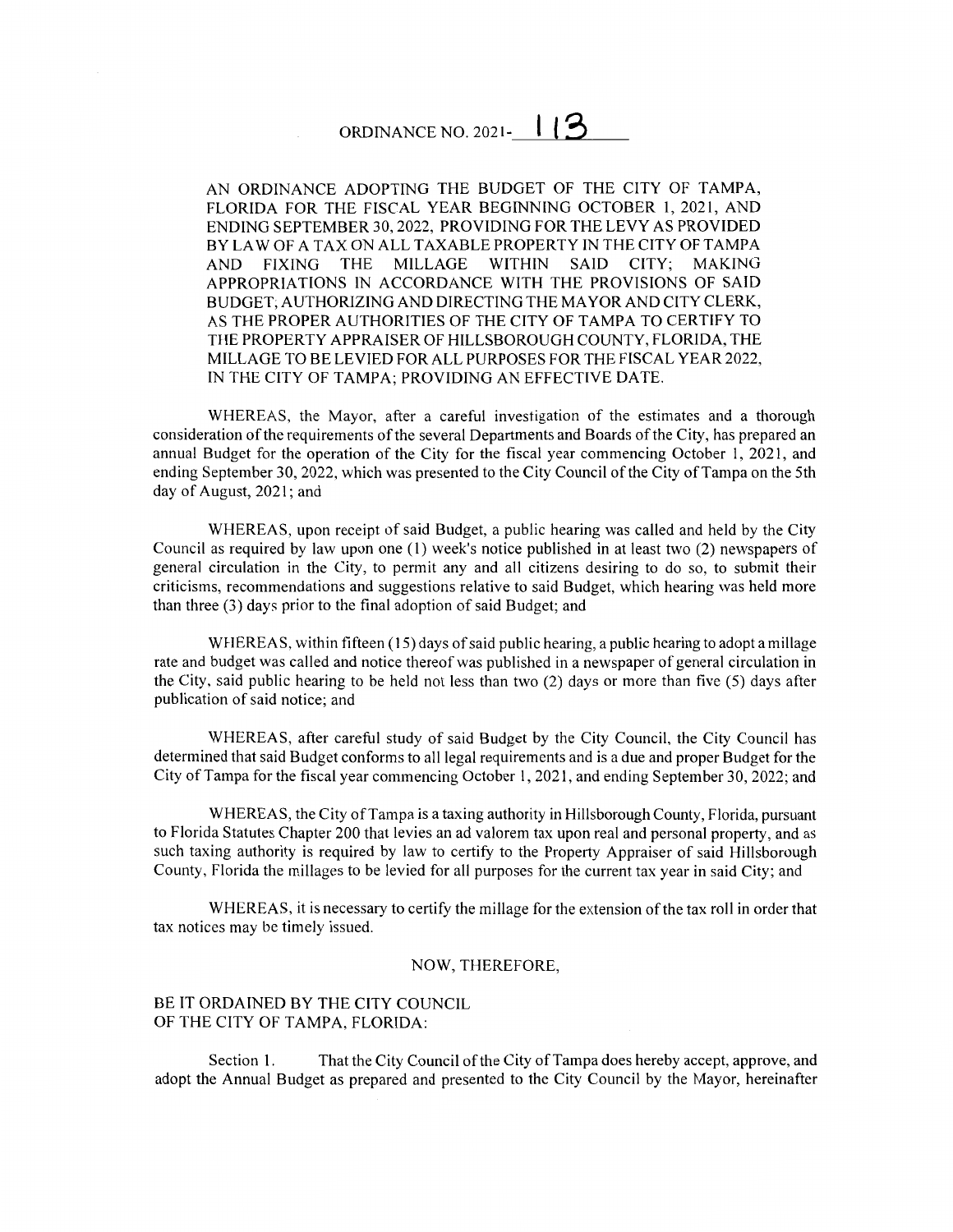## ORDINANCE NO. 2021-  $113$

AN ORDINANCE ADOPTING THE BUDGET OF THE CITY OF TAMPA, FLORIDA FOR THE FISCAL YEAR BEGINNING OCTOBER I, 2021, AND ENDING SEPTEMBER 30, 2022, PROVIDING FOR THE LEVY AS PROVIDED BY LAW OF A TAX ON ALL TAXABLE PROPERTY IN THE CITY OF TAMPA AND FIXING THE MILLAGE WITHIN SAID CITY; MAKING APPROPRIATIONS IN ACCORDANCE WITH THE PROVISIONS OF SAID BUDGET; AUTHORIZING AND DIRECTING THE MAYOR AND CITY CLERK, AS THE PROPER AUTHORITIES OF THE CITY OF TAMPA TO CERTIFY TO THE PROPERTY APPRAISER OF HILLSBOROUGH COUNTY, FLORIDA, THE MILLAGE TO BE LEVIED FOR ALL PURPOSES FOR THE FISCAL YEAR 2022, IN THE CITY OF TAMPA; PROVIDING AN EFFECTIVE DATE.

WHEREAS, the Mayor, after a careful investigation of the estimates and a thorough consideration of the requirements of the several Departments and Boards of the City, has prepared an annual Budget for the operation of the City for the fiscal year commencing October I, 2021, and ending September 30, 2022, which was presented to the City Council of the City of Tampa on the 5th day of August, 2021; and

WHEREAS, upon receipt of said Budget, a public hearing was called and held by the City Council as required by law upon one (1) week's notice published in at least two (2) newspapers of general circulation in the City, to permit any and all citizens desiring to do so, to submit their criticisms, recommendations and suggestions relative to said Budget, which hearing was held more than three (3) days prior to the final adoption of said Budget; and

WHEREAS, within fifteen ( 15) days of said public hearing, a public hearing to adopt a millage rate and budget was called and notice thereof was published in a newspaper of general circulation in the City, said public hearing to be held not less than two (2) days or more than five (5) days after publication of said notice; and

WHEREAS, after careful study of said Budget by the City Council, the City Council has determined that said Budget conforms to all legal requirements and is a due and proper Budget for the City of Tampa for the fiscal year commencing October I, 2021, and ending September 30, 2022; and

WHEREAS, the City of Tampa is a taxing authority in Hillsborough County, Florida, pursuant to Florida Statutes Chapter 200 that levies an ad valorem tax upon real and personal property, and as such taxing authority is required by law to certify to the Property Appraiser of said Hillsborough County, Florida the millages to be levied for all purposes for the current tax year in said City; and

WHEREAS, it is necessary to certify the millage for the extension of the tax roll in order that tax notices may be timely issued.

## NOW, THEREFORE,

## BE IT ORDAINED BY THE CITY COUNCIL OF THE CITY OF TAMPA, FLORIDA:

Section 1. That the City Council of the City of Tampa does hereby accept, approve, and adopt the Annual Budget as prepared and presented to the City Council by the Mayor, hereinafter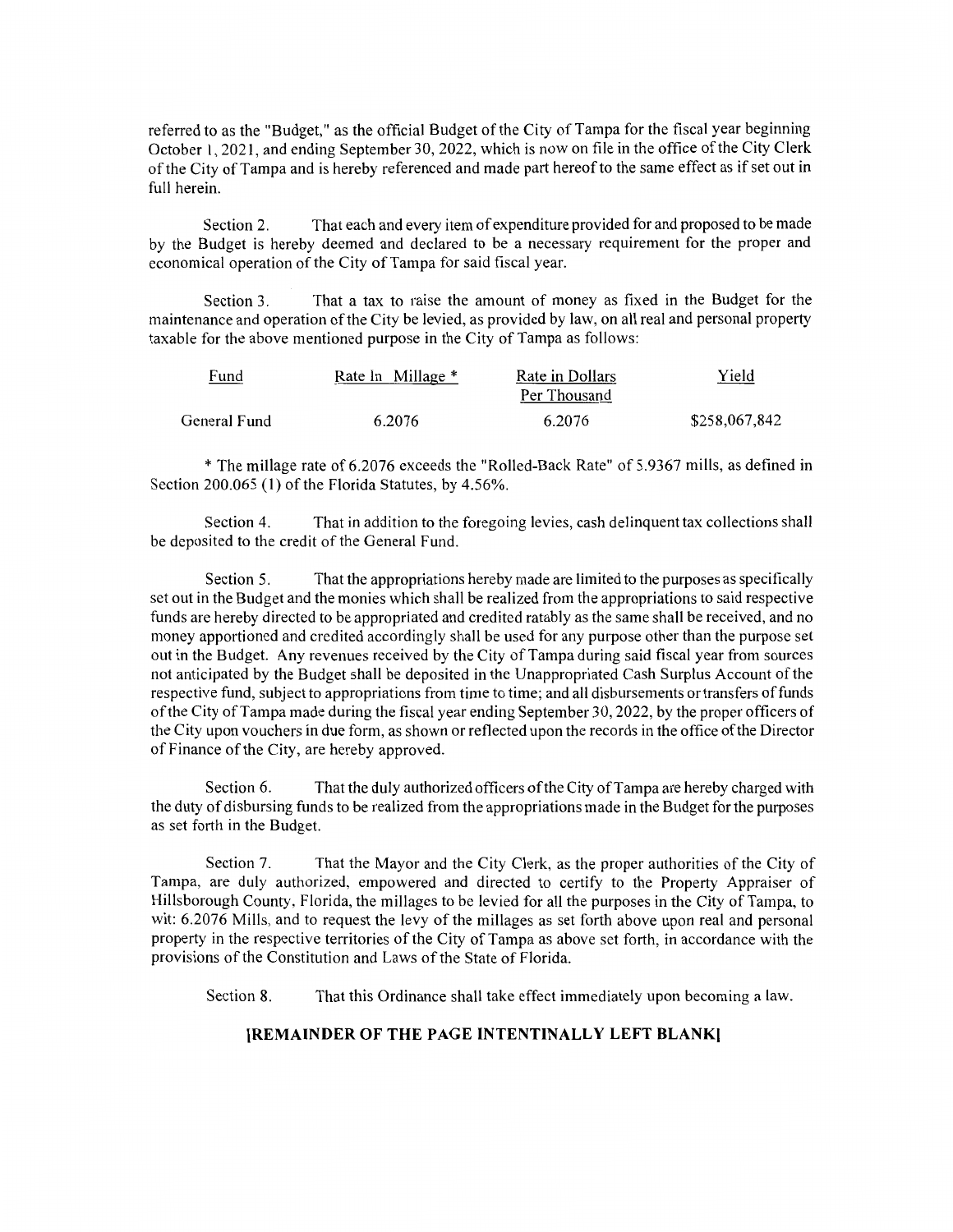referred to as the "Budget," as the official Budget of the City of Tampa for the fiscal year beginning October 1, 2021, and ending September 30, 2022, which is now on file in the office of the City Clerk of the City of Tampa and is hereby referenced and made part hereof to the same effect as if set out in full herein.

Section 2. That each and every item of expenditure provided for and proposed to be made by the Budget is hereby deemed and declared to be a necessary requirement for the proper and economical operation of the City of Tampa for said fiscal year.

Section 3. That a tax to raise the amount of money as fixed in the Budget for the maintenance and operation of the City be levied, as provided by law, on all real and personal property taxable for the above mentioned purpose in the City of Tampa as follows:

| <u>Fund</u>  | Rate In Millage * | Rate in Dollars | Yield         |
|--------------|-------------------|-----------------|---------------|
|              |                   | Per Thousand    |               |
| General Fund | 6.2076            | 6.2076          | \$258,067,842 |

\* The millage rate of 6.2076 exceeds the "Rolled-Back Rate" of 5.9367 mills, as defined in Section 200.065 (I) of the Florida Statutes, by 4.56%.

Section 4. That in addition to the foregoing levies, cash delinquent tax collections shall be deposited to the credit of the General Fund.

Section 5. That the appropriations hereby made are limited to the purposes as specifically set out in the Budget and the monies which shall be realized from the appropriations to said respective funds are hereby directed to be appropriated and credited ratably as the same shall be received, and no money apportioned and credited accordingly shall be used for any purpose other than the purpose set out in the Budget. Any revenues received by the City of Tampa during said fiscal year from sources not anticipated by the Budget shall be deposited in the Unappropriated Cash Surplus Account of the respective fund, subject to appropriations from time to time; and all disbursements or transfers of funds of the City of Tampa made during the fiscal year ending September 30, 2022, by the proper officers of the City upon vouchers in due form, as shown or reflected upon the records in the office of the Director of Finance of the City, are hereby approved.

Section 6. That the duly authorized officers of the City of Tampa are hereby charged with the duty of disbursing funds to be realized from the appropriations made in the Budget for the purposes as set forth in the Budget.

Section 7. That the Mayor and the City Clerk, as the proper authorities of the City of Tampa, are duly authorized, empowered and directed to certify to the Property Appraiser of Hillsborough County, Florida, the millages to be levied for all the purposes in the City of Tampa, to wit: 6.2076 Mills, and to request the levy of the millages as set forth above upon real and personal property in the respective territories of the City of Tampa as above set forth, in accordance with the provisions of the Constitution and Laws of the State of Florida.

Section 8. That this Ordinance shall take effect immediately upon becoming a law.

## **[REMAINDER OF THE PAGE INTENTINALLY LEFT BLANK)**